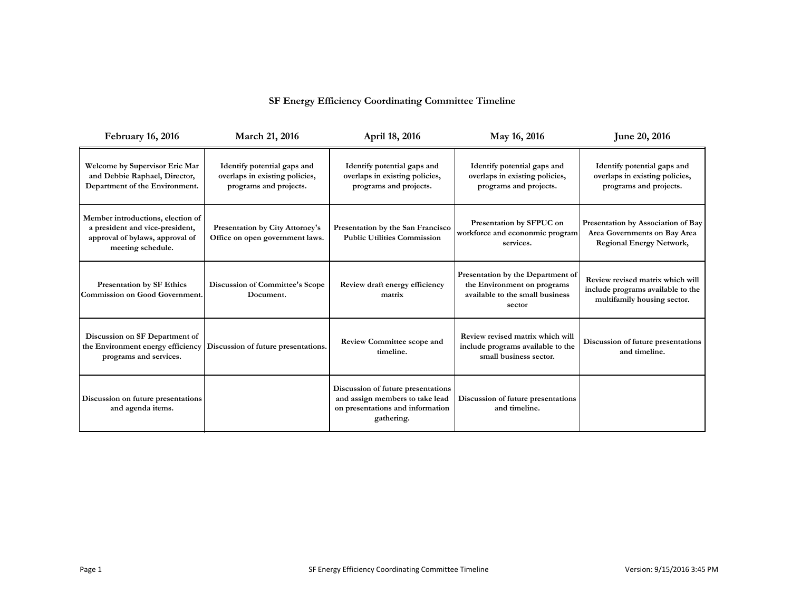## **SF Energy Efficiency Coordinating Committee Timeline**

| <b>February 16, 2016</b>                                                                                                     | March 21, 2016                                                                          | April 18, 2016                                                                                                          | May 16, 2016                                                                                                  | June 20, 2016                                                                                         |
|------------------------------------------------------------------------------------------------------------------------------|-----------------------------------------------------------------------------------------|-------------------------------------------------------------------------------------------------------------------------|---------------------------------------------------------------------------------------------------------------|-------------------------------------------------------------------------------------------------------|
| Welcome by Supervisor Eric Mar<br>and Debbie Raphael, Director,<br>Department of the Environment.                            | Identify potential gaps and<br>overlaps in existing policies,<br>programs and projects. | Identify potential gaps and<br>overlaps in existing policies,<br>programs and projects.                                 | Identify potential gaps and<br>overlaps in existing policies,<br>programs and projects.                       | Identify potential gaps and<br>overlaps in existing policies,<br>programs and projects.               |
| Member introductions, election of<br>a president and vice-president,<br>approval of bylaws, approval of<br>meeting schedule. | <b>Presentation by City Attorney's</b><br>Office on open government laws.               | Presentation by the San Francisco<br><b>Public Utilities Commission</b>                                                 | Presentation by SFPUC on<br>workforce and econonmic program<br>services.                                      | Presentation by Association of Bay<br>Area Governments on Bay Area<br><b>Regional Energy Network,</b> |
| <b>Presentation by SF Ethics</b><br><b>Commission on Good Government.</b>                                                    | <b>Discussion of Committee's Scope</b><br>Document.                                     | Review draft energy efficiency<br>matrix                                                                                | Presentation by the Department of<br>the Environment on programs<br>available to the small business<br>sector | Review revised matrix which will<br>include programs available to the<br>multifamily housing sector.  |
| Discussion on SF Department of<br>the Environment energy efficiency<br>programs and services.                                | Discussion of future presentations.                                                     | <b>Review Committee scope and</b><br>timeline.                                                                          | Review revised matrix which will<br>include programs available to the<br>small business sector.               | Discussion of future presentations<br>and timeline.                                                   |
| Discussion on future presentations<br>and agenda items.                                                                      |                                                                                         | Discussion of future presentations<br>and assign members to take lead<br>on presentations and information<br>gathering. | Discussion of future presentations<br>and timeline.                                                           |                                                                                                       |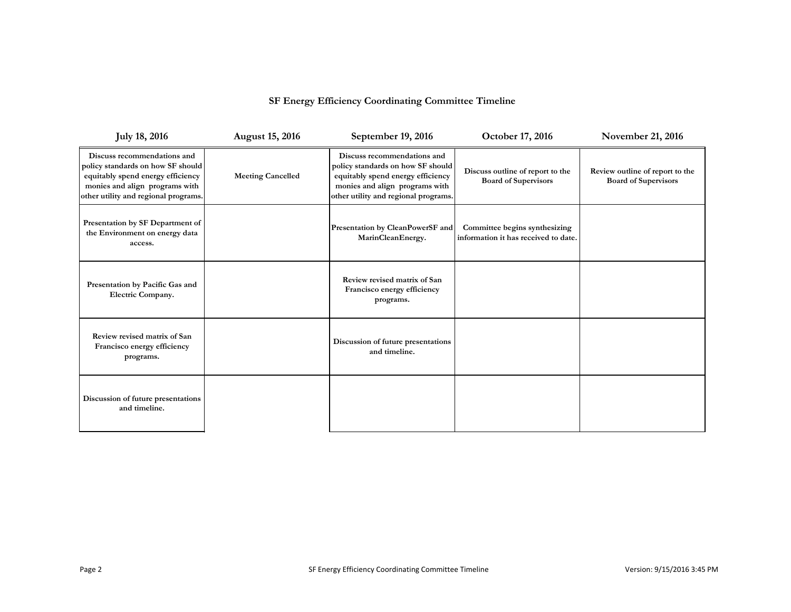## **SF Energy Efficiency Coordinating Committee Timeline**

| <b>July 18, 2016</b>                                                                                                                                                            | <b>August 15, 2016</b>   | September 19, 2016                                                                                                                                                              | October 17, 2016                                                      | <b>November 21, 2016</b>                                       |
|---------------------------------------------------------------------------------------------------------------------------------------------------------------------------------|--------------------------|---------------------------------------------------------------------------------------------------------------------------------------------------------------------------------|-----------------------------------------------------------------------|----------------------------------------------------------------|
| Discuss recommendations and<br>policy standards on how SF should<br>equitably spend energy efficiency<br>monies and align programs with<br>other utility and regional programs. | <b>Meeting Cancelled</b> | Discuss recommendations and<br>policy standards on how SF should<br>equitably spend energy efficiency<br>monies and align programs with<br>other utility and regional programs. | Discuss outline of report to the<br><b>Board of Supervisors</b>       | Review outline of report to the<br><b>Board of Supervisors</b> |
| Presentation by SF Department of<br>the Environment on energy data<br>access.                                                                                                   |                          | Presentation by CleanPowerSF and<br>MarinCleanEnergy.                                                                                                                           | Committee begins synthesizing<br>information it has received to date. |                                                                |
| Presentation by Pacific Gas and<br>Electric Company.                                                                                                                            |                          | Review revised matrix of San<br>Francisco energy efficiency<br>programs.                                                                                                        |                                                                       |                                                                |
| Review revised matrix of San<br>Francisco energy efficiency<br>programs.                                                                                                        |                          | Discussion of future presentations<br>and timeline.                                                                                                                             |                                                                       |                                                                |
| Discussion of future presentations<br>and timeline.                                                                                                                             |                          |                                                                                                                                                                                 |                                                                       |                                                                |